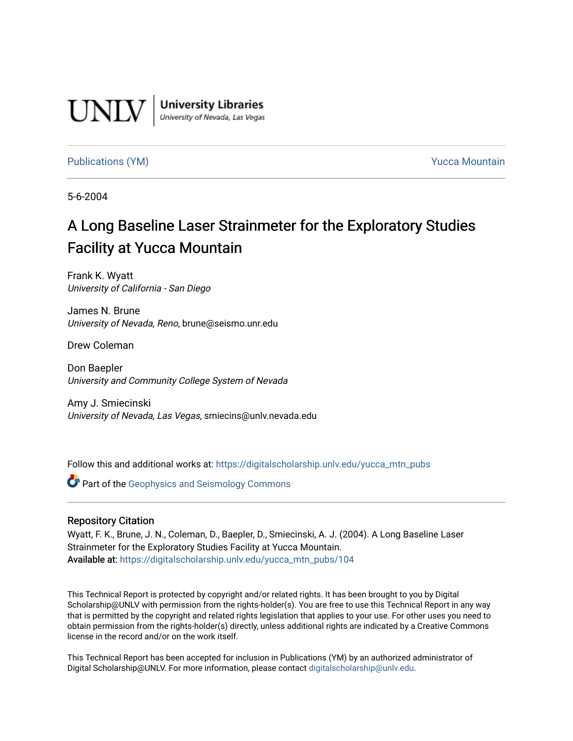

**University Libraries**<br>University of Nevada, Las Vegas

[Publications \(YM\)](https://digitalscholarship.unlv.edu/yucca_mtn_pubs) **Publications (YM) Publications (YM) Publications** (*YM*)

5-6-2004

# A Long Baseline Laser Strainmeter for the Exploratory Studies Facility at Yucca Mountain

Frank K. Wyatt University of California - San Diego

James N. Brune University of Nevada, Reno, brune@seismo.unr.edu

Drew Coleman

Don Baepler University and Community College System of Nevada

Amy J. Smiecinski University of Nevada, Las Vegas, smiecins@unlv.nevada.edu

Follow this and additional works at: [https://digitalscholarship.unlv.edu/yucca\\_mtn\\_pubs](https://digitalscholarship.unlv.edu/yucca_mtn_pubs?utm_source=digitalscholarship.unlv.edu%2Fyucca_mtn_pubs%2F104&utm_medium=PDF&utm_campaign=PDFCoverPages)

**C** Part of the Geophysics and Seismology Commons

#### Repository Citation

Wyatt, F. K., Brune, J. N., Coleman, D., Baepler, D., Smiecinski, A. J. (2004). A Long Baseline Laser Strainmeter for the Exploratory Studies Facility at Yucca Mountain. Available at: [https://digitalscholarship.unlv.edu/yucca\\_mtn\\_pubs/104](https://digitalscholarship.unlv.edu/yucca_mtn_pubs/104) 

This Technical Report is protected by copyright and/or related rights. It has been brought to you by Digital Scholarship@UNLV with permission from the rights-holder(s). You are free to use this Technical Report in any way that is permitted by the copyright and related rights legislation that applies to your use. For other uses you need to obtain permission from the rights-holder(s) directly, unless additional rights are indicated by a Creative Commons license in the record and/or on the work itself.

This Technical Report has been accepted for inclusion in Publications (YM) by an authorized administrator of Digital Scholarship@UNLV. For more information, please contact [digitalscholarship@unlv.edu](mailto:digitalscholarship@unlv.edu).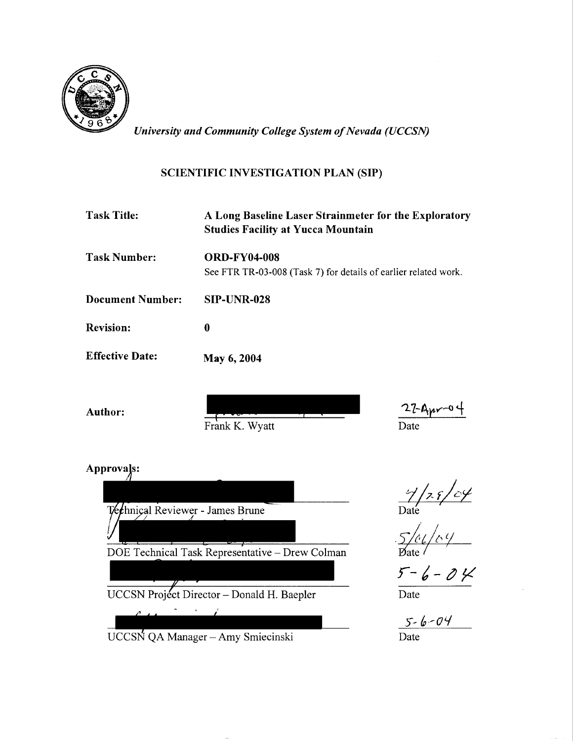

*University and Community College System of Nevada (UCCSN)* 

# SCIENTIFIC INVESTIGATION PLAN (SIP)

| <b>Task Title:</b>      | A Long Baseline Laser Strainmeter for the Exploratory<br><b>Studies Facility at Yucca Mountain</b> |
|-------------------------|----------------------------------------------------------------------------------------------------|
| <b>Task Number:</b>     | <b>ORD-FY04-008</b>                                                                                |
|                         | See FTR TR-03-008 (Task 7) for details of earlier related work.                                    |
| <b>Document Number:</b> | SIP-UNR-028                                                                                        |
| <b>Revision:</b>        | 0                                                                                                  |
| <b>Effective Date:</b>  | May 6, 2004                                                                                        |

Author:

Frank K. Wyatt

 $\frac{27-A_{\mu\nu}-04}{\text{Date}}$ 

Approvals:



UCCSN QA Manager- Amy Smiecinski

. 5/01/c, <u>y</u><br>Date /

 $rac{5-6-04}{\text{Date}}$ 

 $\frac{5 - 6 - 04}{\text{Date}}$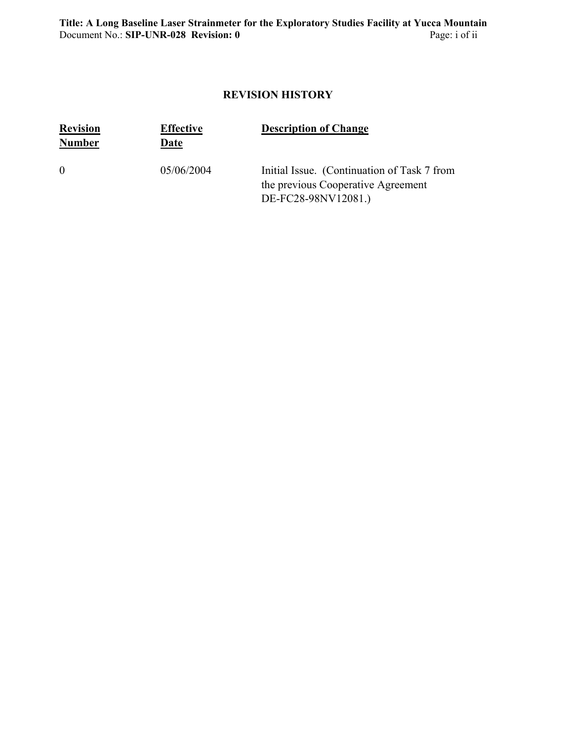# **REVISION HISTORY**

| <b>Revision</b><br><b>Number</b> | <b>Effective</b><br>Date | <b>Description of Change</b>                                                                             |
|----------------------------------|--------------------------|----------------------------------------------------------------------------------------------------------|
| $\theta$                         | 05/06/2004               | Initial Issue. (Continuation of Task 7 from<br>the previous Cooperative Agreement<br>DE-FC28-98NV12081.) |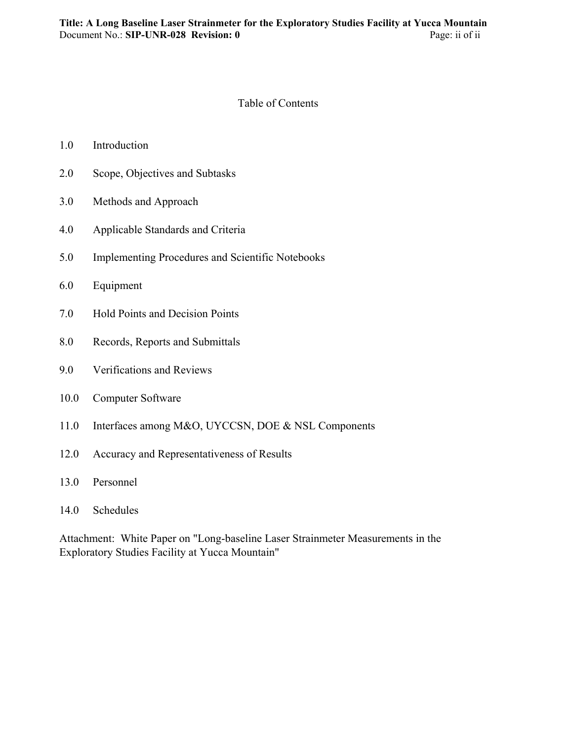#### Table of Contents

| 1.0 | Introduction |
|-----|--------------|
|-----|--------------|

- 2.0 Scope, Objectives and Subtasks
- 3.0 Methods and Approach
- 4.0 Applicable Standards and Criteria
- 5.0 Implementing Procedures and Scientific Notebooks
- 6.0 Equipment
- 7.0 Hold Points and Decision Points
- 8.0 Records, Reports and Submittals
- 9.0 Verifications and Reviews
- 10.0 Computer Software
- 11.0 Interfaces among M&O, UYCCSN, DOE & NSL Components
- 12.0 Accuracy and Representativeness of Results
- 13.0 Personnel
- 14.0 Schedules

Attachment: White Paper on "Long-baseline Laser Strainmeter Measurements in the Exploratory Studies Facility at Yucca Mountain"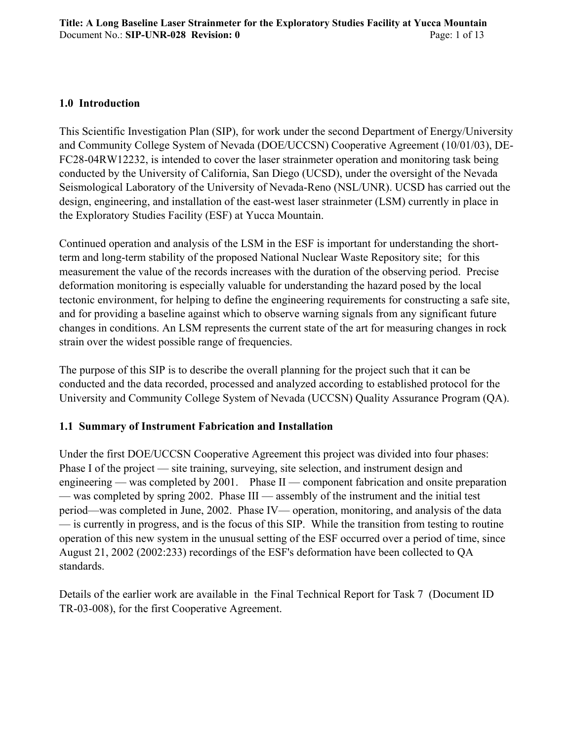#### **1.0 Introduction**

This Scientific Investigation Plan (SIP), for work under the second Department of Energy/University and Community College System of Nevada (DOE/UCCSN) Cooperative Agreement (10/01/03), DE-FC28-04RW12232, is intended to cover the laser strainmeter operation and monitoring task being conducted by the University of California, San Diego (UCSD), under the oversight of the Nevada Seismological Laboratory of the University of Nevada-Reno (NSL/UNR). UCSD has carried out the design, engineering, and installation of the east-west laser strainmeter (LSM) currently in place in the Exploratory Studies Facility (ESF) at Yucca Mountain.

Continued operation and analysis of the LSM in the ESF is important for understanding the shortterm and long-term stability of the proposed National Nuclear Waste Repository site; for this measurement the value of the records increases with the duration of the observing period. Precise deformation monitoring is especially valuable for understanding the hazard posed by the local tectonic environment, for helping to define the engineering requirements for constructing a safe site, and for providing a baseline against which to observe warning signals from any significant future changes in conditions. An LSM represents the current state of the art for measuring changes in rock strain over the widest possible range of frequencies.

The purpose of this SIP is to describe the overall planning for the project such that it can be conducted and the data recorded, processed and analyzed according to established protocol for the University and Community College System of Nevada (UCCSN) Quality Assurance Program (QA).

# **1.1 Summary of Instrument Fabrication and Installation**

Under the first DOE/UCCSN Cooperative Agreement this project was divided into four phases: Phase I of the project — site training, surveying, site selection, and instrument design and engineering — was completed by 2001. Phase II — component fabrication and onsite preparation — was completed by spring 2002. Phase III — assembly of the instrument and the initial test period—was completed in June, 2002. Phase IV— operation, monitoring, and analysis of the data — is currently in progress, and is the focus of this SIP. While the transition from testing to routine operation of this new system in the unusual setting of the ESF occurred over a period of time, since August 21, 2002 (2002:233) recordings of the ESF's deformation have been collected to QA standards.

Details of the earlier work are available in the Final Technical Report for Task 7 (Document ID TR-03-008), for the first Cooperative Agreement.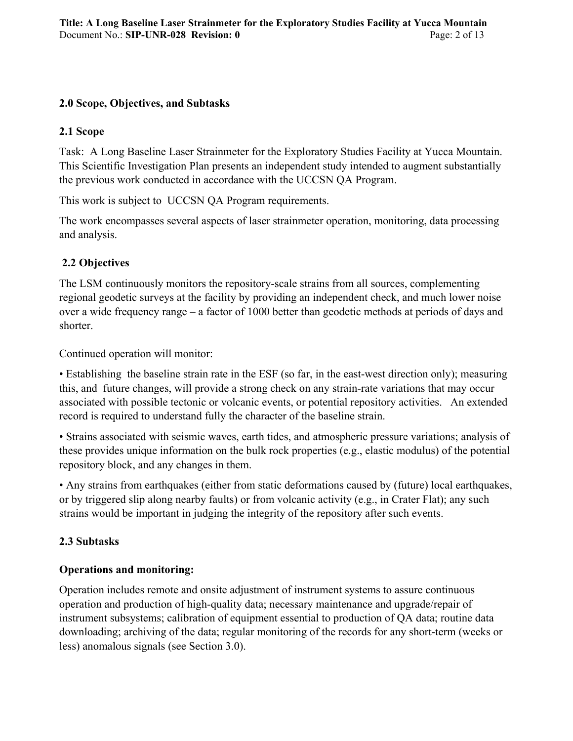#### **2.0 Scope, Objectives, and Subtasks**

# **2.1 Scope**

Task: A Long Baseline Laser Strainmeter for the Exploratory Studies Facility at Yucca Mountain. This Scientific Investigation Plan presents an independent study intended to augment substantially the previous work conducted in accordance with the UCCSN QA Program.

This work is subject to UCCSN QA Program requirements.

The work encompasses several aspects of laser strainmeter operation, monitoring, data processing and analysis.

# **2.2 Objectives**

The LSM continuously monitors the repository-scale strains from all sources, complementing regional geodetic surveys at the facility by providing an independent check, and much lower noise over a wide frequency range – a factor of 1000 better than geodetic methods at periods of days and shorter.

Continued operation will monitor:

• Establishing the baseline strain rate in the ESF (so far, in the east-west direction only); measuring this, and future changes, will provide a strong check on any strain-rate variations that may occur associated with possible tectonic or volcanic events, or potential repository activities. An extended record is required to understand fully the character of the baseline strain.

• Strains associated with seismic waves, earth tides, and atmospheric pressure variations; analysis of these provides unique information on the bulk rock properties (e.g., elastic modulus) of the potential repository block, and any changes in them.

• Any strains from earthquakes (either from static deformations caused by (future) local earthquakes, or by triggered slip along nearby faults) or from volcanic activity (e.g., in Crater Flat); any such strains would be important in judging the integrity of the repository after such events.

# **2.3 Subtasks**

# **Operations and monitoring:**

Operation includes remote and onsite adjustment of instrument systems to assure continuous operation and production of high-quality data; necessary maintenance and upgrade/repair of instrument subsystems; calibration of equipment essential to production of QA data; routine data downloading; archiving of the data; regular monitoring of the records for any short-term (weeks or less) anomalous signals (see Section 3.0).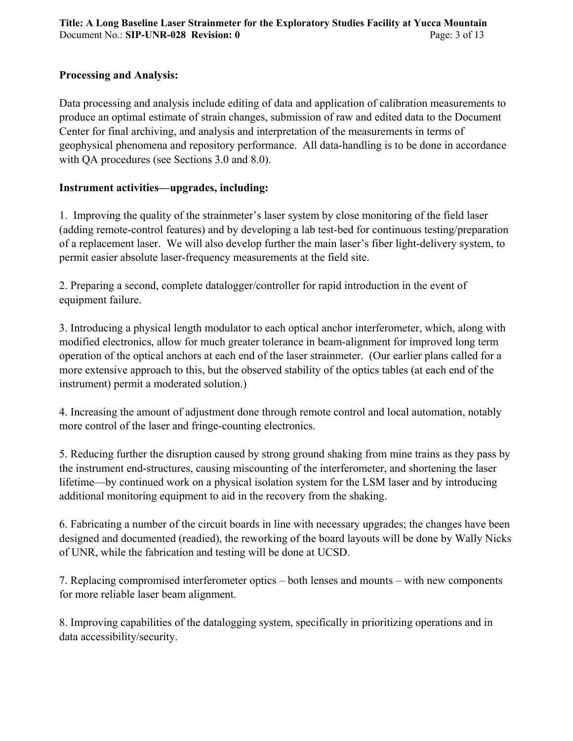## **Processing and Analysis:**

Data processing and analysis include editing of data and application of calibration measurements to produce an optimal estimate of strain changes, submission of raw and edited data to the Document Center for final archiving, and analysis and interpretation of the measurements in terms of geophysical phenomena and repository performance. All data-handling is to be done in accordance with QA procedures (see Sections 3.0 and 8.0).

# **Instrument activities—upgrades, including:**

1. Improving the quality of the strainmeter's laser system by close monitoring of the field laser (adding remote-control features) and by developing a lab test-bed for continuous testing/preparation of a replacement laser. We will also develop further the main laser's fiber light-delivery system, to permit easier absolute laser-frequency measurements at the field site.

2. Preparing a second, complete datalogger/controller for rapid introduction in the event of equipment failure.

3. Introducing a physical length modulator to each optical anchor interferometer, which, along with modified electronics, allow for much greater tolerance in beam-alignment for improved long term operation of the optical anchors at each end of the laser strainmeter. (Our earlier plans called for a more extensive approach to this, but the observed stability of the optics tables (at each end of the instrument) permit a moderated solution.)

4. Increasing the amount of adjustment done through remote control and local automation, notably more control of the laser and fringe-counting electronics.

5. Reducing further the disruption caused by strong ground shaking from mine trains as they pass by the instrument end-structures, causing miscounting of the interferometer, and shortening the laser lifetime—by continued work on a physical isolation system for the LSM laser and by introducing additional monitoring equipment to aid in the recovery from the shaking.

6. Fabricating a number of the circuit boards in line with necessary upgrades; the changes have been designed and documented (readied), the reworking of the board layouts will be done by Wally Nicks of UNR, while the fabrication and testing will be done at UCSD.

7. Replacing compromised interferometer optics – both lenses and mounts – with new components for more reliable laser beam alignment.

8. Improving capabilities of the datalogging system, specifically in prioritizing operations and in data accessibility/security.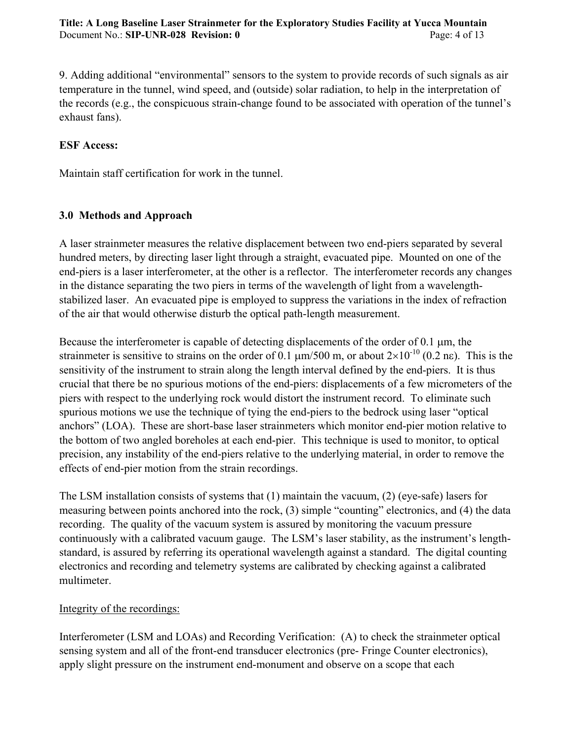9. Adding additional "environmental" sensors to the system to provide records of such signals as air temperature in the tunnel, wind speed, and (outside) solar radiation, to help in the interpretation of the records (e.g., the conspicuous strain-change found to be associated with operation of the tunnel's exhaust fans).

#### **ESF Access:**

Maintain staff certification for work in the tunnel.

#### **3.0 Methods and Approach**

A laser strainmeter measures the relative displacement between two end-piers separated by several hundred meters, by directing laser light through a straight, evacuated pipe. Mounted on one of the end-piers is a laser interferometer, at the other is a reflector. The interferometer records any changes in the distance separating the two piers in terms of the wavelength of light from a wavelengthstabilized laser. An evacuated pipe is employed to suppress the variations in the index of refraction of the air that would otherwise disturb the optical path-length measurement.

Because the interferometer is capable of detecting displacements of the order of 0.1  $\mu$ m, the strainmeter is sensitive to strains on the order of 0.1  $\mu$ m/500 m, or about 2×10<sup>-10</sup> (0.2 ns). This is the sensitivity of the instrument to strain along the length interval defined by the end-piers. It is thus crucial that there be no spurious motions of the end-piers: displacements of a few micrometers of the piers with respect to the underlying rock would distort the instrument record. To eliminate such spurious motions we use the technique of tying the end-piers to the bedrock using laser "optical anchors" (LOA). These are short-base laser strainmeters which monitor end-pier motion relative to the bottom of two angled boreholes at each end-pier. This technique is used to monitor, to optical precision, any instability of the end-piers relative to the underlying material, in order to remove the effects of end-pier motion from the strain recordings.

The LSM installation consists of systems that (1) maintain the vacuum, (2) (eye-safe) lasers for measuring between points anchored into the rock, (3) simple "counting" electronics, and (4) the data recording. The quality of the vacuum system is assured by monitoring the vacuum pressure continuously with a calibrated vacuum gauge. The LSM's laser stability, as the instrument's lengthstandard, is assured by referring its operational wavelength against a standard. The digital counting electronics and recording and telemetry systems are calibrated by checking against a calibrated multimeter.

#### Integrity of the recordings:

Interferometer (LSM and LOAs) and Recording Verification: (A) to check the strainmeter optical sensing system and all of the front-end transducer electronics (pre- Fringe Counter electronics), apply slight pressure on the instrument end-monument and observe on a scope that each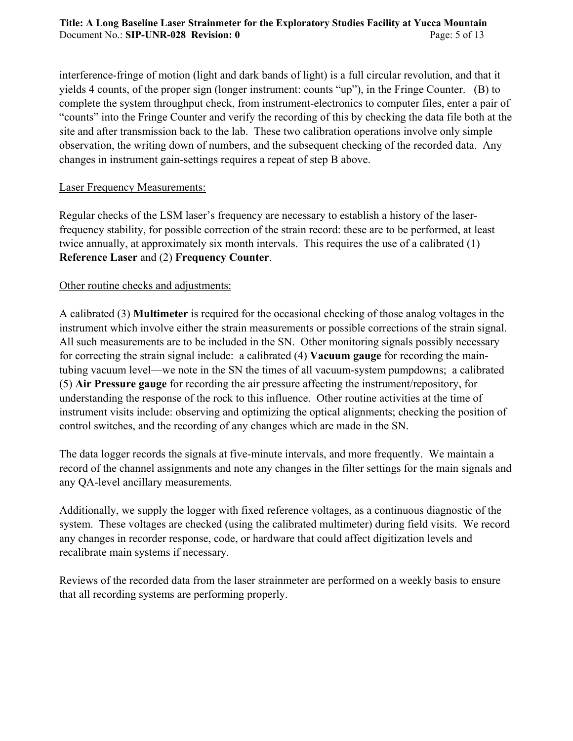interference-fringe of motion (light and dark bands of light) is a full circular revolution, and that it yields 4 counts, of the proper sign (longer instrument: counts "up"), in the Fringe Counter. (B) to complete the system throughput check, from instrument-electronics to computer files, enter a pair of "counts" into the Fringe Counter and verify the recording of this by checking the data file both at the site and after transmission back to the lab. These two calibration operations involve only simple observation, the writing down of numbers, and the subsequent checking of the recorded data. Any changes in instrument gain-settings requires a repeat of step B above.

#### Laser Frequency Measurements:

Regular checks of the LSM laser's frequency are necessary to establish a history of the laserfrequency stability, for possible correction of the strain record: these are to be performed, at least twice annually, at approximately six month intervals. This requires the use of a calibrated (1) **Reference Laser** and (2) **Frequency Counter**.

# Other routine checks and adjustments:

A calibrated (3) **Multimeter** is required for the occasional checking of those analog voltages in the instrument which involve either the strain measurements or possible corrections of the strain signal. All such measurements are to be included in the SN. Other monitoring signals possibly necessary for correcting the strain signal include: a calibrated (4) **Vacuum gauge** for recording the maintubing vacuum level—we note in the SN the times of all vacuum-system pumpdowns; a calibrated (5) **Air Pressure gauge** for recording the air pressure affecting the instrument/repository, for understanding the response of the rock to this influence. Other routine activities at the time of instrument visits include: observing and optimizing the optical alignments; checking the position of control switches, and the recording of any changes which are made in the SN.

The data logger records the signals at five-minute intervals, and more frequently. We maintain a record of the channel assignments and note any changes in the filter settings for the main signals and any QA-level ancillary measurements.

Additionally, we supply the logger with fixed reference voltages, as a continuous diagnostic of the system. These voltages are checked (using the calibrated multimeter) during field visits. We record any changes in recorder response, code, or hardware that could affect digitization levels and recalibrate main systems if necessary.

Reviews of the recorded data from the laser strainmeter are performed on a weekly basis to ensure that all recording systems are performing properly.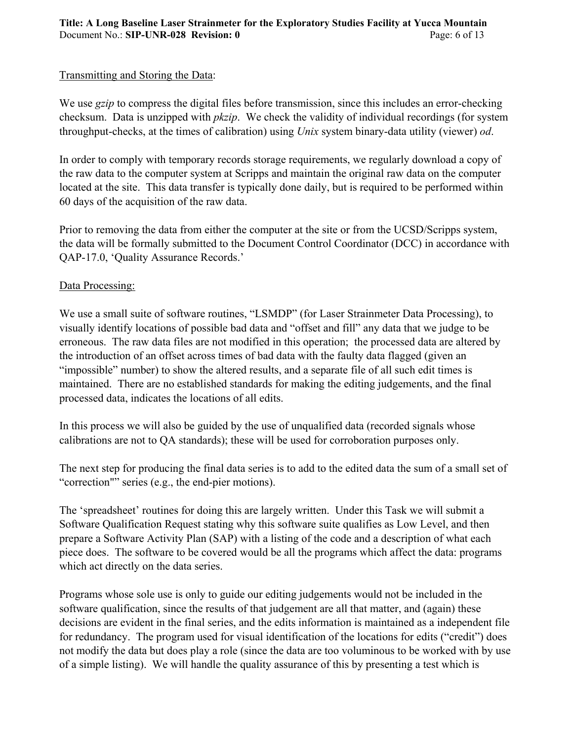# Transmitting and Storing the Data:

We use *gzip* to compress the digital files before transmission, since this includes an error-checking checksum. Data is unzipped with *pkzip*. We check the validity of individual recordings (for system throughput-checks, at the times of calibration) using *Unix* system binary-data utility (viewer) *od*.

In order to comply with temporary records storage requirements, we regularly download a copy of the raw data to the computer system at Scripps and maintain the original raw data on the computer located at the site. This data transfer is typically done daily, but is required to be performed within 60 days of the acquisition of the raw data.

Prior to removing the data from either the computer at the site or from the UCSD/Scripps system, the data will be formally submitted to the Document Control Coordinator (DCC) in accordance with QAP-17.0, 'Quality Assurance Records.'

#### Data Processing:

We use a small suite of software routines, "LSMDP" (for Laser Strainmeter Data Processing), to visually identify locations of possible bad data and "offset and fill" any data that we judge to be erroneous. The raw data files are not modified in this operation; the processed data are altered by the introduction of an offset across times of bad data with the faulty data flagged (given an "impossible" number) to show the altered results, and a separate file of all such edit times is maintained. There are no established standards for making the editing judgements, and the final processed data, indicates the locations of all edits.

In this process we will also be guided by the use of unqualified data (recorded signals whose calibrations are not to QA standards); these will be used for corroboration purposes only.

The next step for producing the final data series is to add to the edited data the sum of a small set of "correction"" series (e.g., the end-pier motions).

The 'spreadsheet' routines for doing this are largely written. Under this Task we will submit a Software Qualification Request stating why this software suite qualifies as Low Level, and then prepare a Software Activity Plan (SAP) with a listing of the code and a description of what each piece does. The software to be covered would be all the programs which affect the data: programs which act directly on the data series.

Programs whose sole use is only to guide our editing judgements would not be included in the software qualification, since the results of that judgement are all that matter, and (again) these decisions are evident in the final series, and the edits information is maintained as a independent file for redundancy. The program used for visual identification of the locations for edits ("credit") does not modify the data but does play a role (since the data are too voluminous to be worked with by use of a simple listing). We will handle the quality assurance of this by presenting a test which is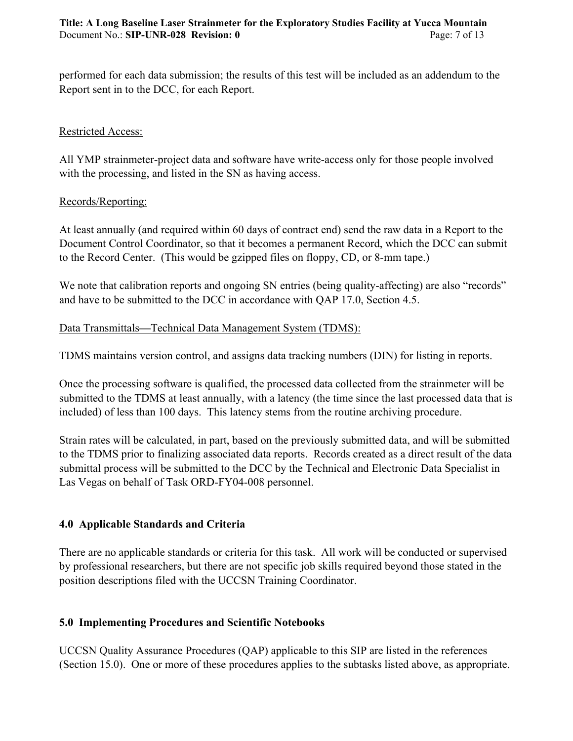performed for each data submission; the results of this test will be included as an addendum to the Report sent in to the DCC, for each Report.

#### Restricted Access:

All YMP strainmeter-project data and software have write-access only for those people involved with the processing, and listed in the SN as having access.

#### Records/Reporting:

At least annually (and required within 60 days of contract end) send the raw data in a Report to the Document Control Coordinator, so that it becomes a permanent Record, which the DCC can submit to the Record Center. (This would be gzipped files on floppy, CD, or 8-mm tape.)

We note that calibration reports and ongoing SN entries (being quality-affecting) are also "records" and have to be submitted to the DCC in accordance with QAP 17.0, Section 4.5.

# Data Transmittals**—**Technical Data Management System (TDMS):

TDMS maintains version control, and assigns data tracking numbers (DIN) for listing in reports.

Once the processing software is qualified, the processed data collected from the strainmeter will be submitted to the TDMS at least annually, with a latency (the time since the last processed data that is included) of less than 100 days. This latency stems from the routine archiving procedure.

Strain rates will be calculated, in part, based on the previously submitted data, and will be submitted to the TDMS prior to finalizing associated data reports. Records created as a direct result of the data submittal process will be submitted to the DCC by the Technical and Electronic Data Specialist in Las Vegas on behalf of Task ORD-FY04-008 personnel.

# **4.0 Applicable Standards and Criteria**

There are no applicable standards or criteria for this task. All work will be conducted or supervised by professional researchers, but there are not specific job skills required beyond those stated in the position descriptions filed with the UCCSN Training Coordinator.

# **5.0 Implementing Procedures and Scientific Notebooks**

UCCSN Quality Assurance Procedures (QAP) applicable to this SIP are listed in the references (Section 15.0). One or more of these procedures applies to the subtasks listed above, as appropriate.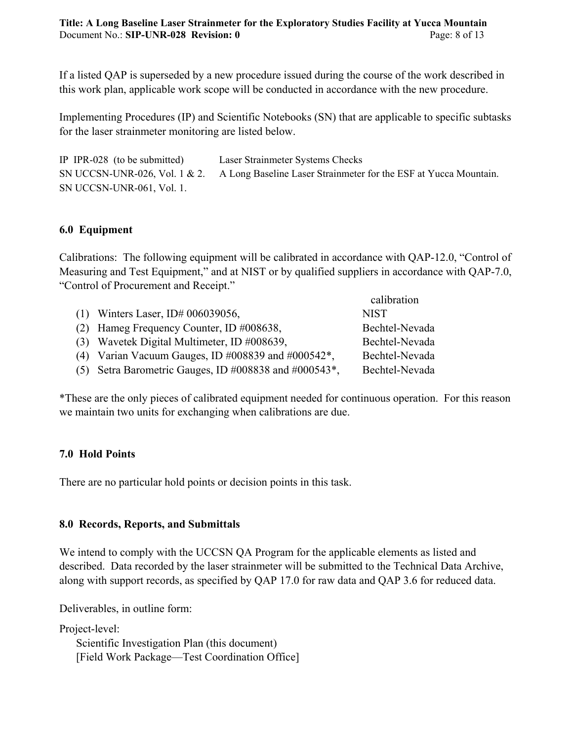If a listed QAP is superseded by a new procedure issued during the course of the work described in this work plan, applicable work scope will be conducted in accordance with the new procedure.

Implementing Procedures (IP) and Scientific Notebooks (SN) that are applicable to specific subtasks for the laser strainmeter monitoring are listed below.

IP IPR-028 (to be submitted) Laser Strainmeter Systems Checks SN UCCSN-UNR-026, Vol. 1 & 2. A Long Baseline Laser Strainmeter for the ESF at Yucca Mountain. SN UCCSN-UNR-061, Vol. 1.

# **6.0 Equipment**

Calibrations: The following equipment will be calibrated in accordance with QAP-12.0, "Control of Measuring and Test Equipment," and at NIST or by qualified suppliers in accordance with QAP-7.0, "Control of Procurement and Receipt."

|                                                            | calibration    |
|------------------------------------------------------------|----------------|
| (1) Winters Laser, ID# $006039056$ ,                       | <b>NIST</b>    |
| (2) Hameg Frequency Counter, ID #008638,                   | Bechtel-Nevada |
| (3) Wavetek Digital Multimeter, ID #008639,                | Bechtel-Nevada |
| (4) Varian Vacuum Gauges, ID #008839 and #000542 $*$ ,     | Bechtel-Nevada |
| (5) Setra Barometric Gauges, ID #008838 and #000543 $^*$ , | Bechtel-Nevada |

\*These are the only pieces of calibrated equipment needed for continuous operation. For this reason we maintain two units for exchanging when calibrations are due.

#### **7.0 Hold Points**

There are no particular hold points or decision points in this task.

#### **8.0 Records, Reports, and Submittals**

We intend to comply with the UCCSN OA Program for the applicable elements as listed and described. Data recorded by the laser strainmeter will be submitted to the Technical Data Archive, along with support records, as specified by QAP 17.0 for raw data and QAP 3.6 for reduced data.

Deliverables, in outline form:

Project-level: Scientific Investigation Plan (this document) [Field Work Package—Test Coordination Office]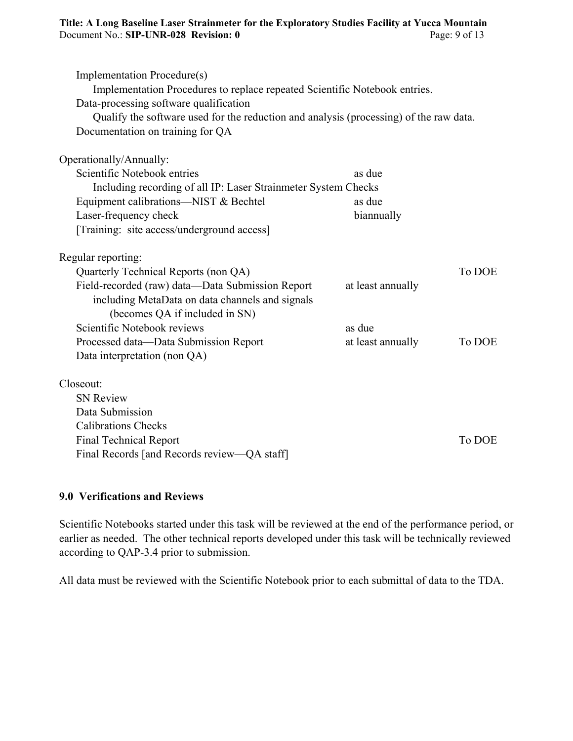| Implementation Procedure(s)<br>Implementation Procedures to replace repeated Scientific Notebook entries.<br>Data-processing software qualification<br>Qualify the software used for the reduction and analysis (processing) of the raw data.<br>Documentation on training for QA |                   |        |
|-----------------------------------------------------------------------------------------------------------------------------------------------------------------------------------------------------------------------------------------------------------------------------------|-------------------|--------|
| Operationally/Annually:                                                                                                                                                                                                                                                           |                   |        |
| Scientific Notebook entries                                                                                                                                                                                                                                                       | as due            |        |
| Including recording of all IP: Laser Strainmeter System Checks                                                                                                                                                                                                                    |                   |        |
| Equipment calibrations—NIST & Bechtel                                                                                                                                                                                                                                             | as due            |        |
| Laser-frequency check                                                                                                                                                                                                                                                             | biannually        |        |
| [Training: site access/underground access]                                                                                                                                                                                                                                        |                   |        |
| Regular reporting:                                                                                                                                                                                                                                                                |                   |        |
| Quarterly Technical Reports (non QA)                                                                                                                                                                                                                                              |                   | To DOE |
| Field-recorded (raw) data-Data Submission Report                                                                                                                                                                                                                                  | at least annually |        |
| including MetaData on data channels and signals                                                                                                                                                                                                                                   |                   |        |
| (becomes QA if included in SN)                                                                                                                                                                                                                                                    |                   |        |
| Scientific Notebook reviews                                                                                                                                                                                                                                                       | as due            |        |
| Processed data-Data Submission Report                                                                                                                                                                                                                                             | at least annually | To DOE |
| Data interpretation (non QA)                                                                                                                                                                                                                                                      |                   |        |
| Closeout:                                                                                                                                                                                                                                                                         |                   |        |
| <b>SN Review</b>                                                                                                                                                                                                                                                                  |                   |        |
| Data Submission                                                                                                                                                                                                                                                                   |                   |        |
| <b>Calibrations Checks</b>                                                                                                                                                                                                                                                        |                   |        |
| <b>Final Technical Report</b>                                                                                                                                                                                                                                                     |                   | To DOE |
| Final Records [and Records review-QA staff]                                                                                                                                                                                                                                       |                   |        |

# **9.0 Verifications and Reviews**

Scientific Notebooks started under this task will be reviewed at the end of the performance period, or earlier as needed. The other technical reports developed under this task will be technically reviewed according to QAP-3.4 prior to submission.

All data must be reviewed with the Scientific Notebook prior to each submittal of data to the TDA.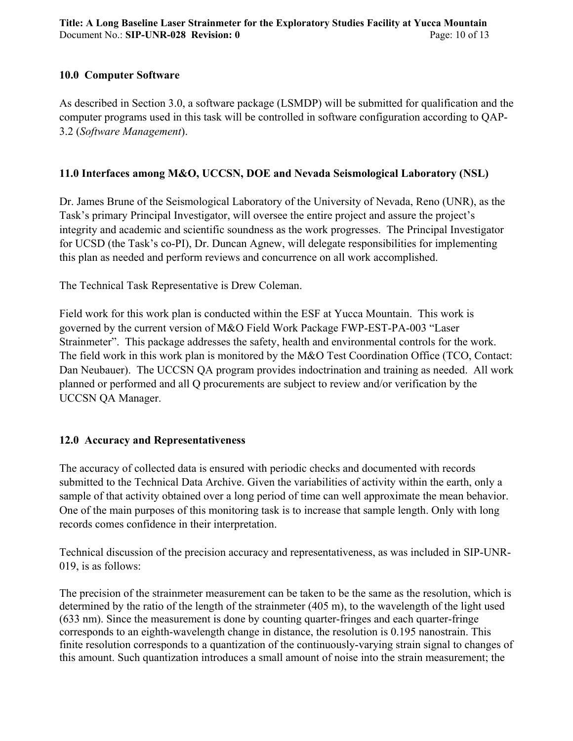#### **10.0 Computer Software**

As described in Section 3.0, a software package (LSMDP) will be submitted for qualification and the computer programs used in this task will be controlled in software configuration according to QAP-3.2 (*Software Management*).

# **11.0 Interfaces among M&O, UCCSN, DOE and Nevada Seismological Laboratory (NSL)**

Dr. James Brune of the Seismological Laboratory of the University of Nevada, Reno (UNR), as the Task's primary Principal Investigator, will oversee the entire project and assure the project's integrity and academic and scientific soundness as the work progresses. The Principal Investigator for UCSD (the Task's co-PI), Dr. Duncan Agnew, will delegate responsibilities for implementing this plan as needed and perform reviews and concurrence on all work accomplished.

The Technical Task Representative is Drew Coleman.

Field work for this work plan is conducted within the ESF at Yucca Mountain. This work is governed by the current version of M&O Field Work Package FWP-EST-PA-003 "Laser Strainmeter". This package addresses the safety, health and environmental controls for the work. The field work in this work plan is monitored by the M&O Test Coordination Office (TCO, Contact: Dan Neubauer). The UCCSN QA program provides indoctrination and training as needed. All work planned or performed and all Q procurements are subject to review and/or verification by the UCCSN QA Manager.

# **12.0 Accuracy and Representativeness**

The accuracy of collected data is ensured with periodic checks and documented with records submitted to the Technical Data Archive. Given the variabilities of activity within the earth, only a sample of that activity obtained over a long period of time can well approximate the mean behavior. One of the main purposes of this monitoring task is to increase that sample length. Only with long records comes confidence in their interpretation.

Technical discussion of the precision accuracy and representativeness, as was included in SIP-UNR-019, is as follows:

The precision of the strainmeter measurement can be taken to be the same as the resolution, which is determined by the ratio of the length of the strainmeter (405 m), to the wavelength of the light used (633 nm). Since the measurement is done by counting quarter-fringes and each quarter-fringe corresponds to an eighth-wavelength change in distance, the resolution is 0.195 nanostrain. This finite resolution corresponds to a quantization of the continuously-varying strain signal to changes of this amount. Such quantization introduces a small amount of noise into the strain measurement; the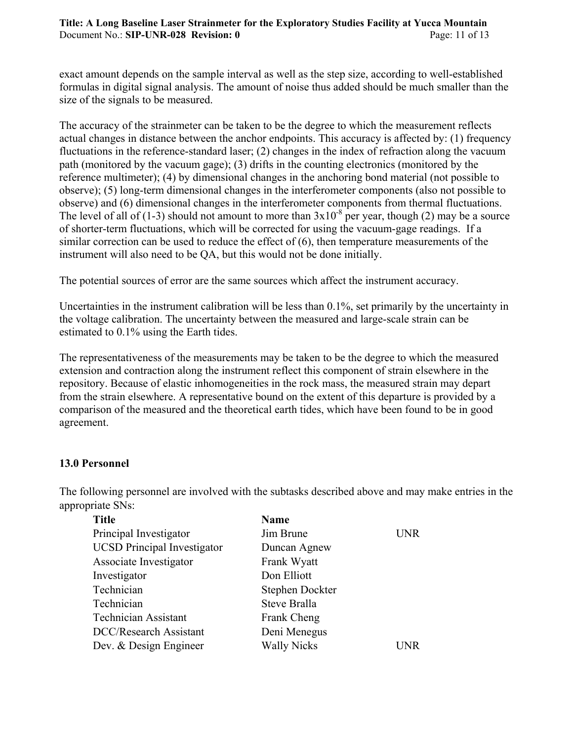#### **Title: A Long Baseline Laser Strainmeter for the Exploratory Studies Facility at Yucca Mountain** Document No.: **SIP-UNR-028 Revision: 0** Page: 11 of 13

exact amount depends on the sample interval as well as the step size, according to well-established formulas in digital signal analysis. The amount of noise thus added should be much smaller than the size of the signals to be measured.

The accuracy of the strainmeter can be taken to be the degree to which the measurement reflects actual changes in distance between the anchor endpoints. This accuracy is affected by: (1) frequency fluctuations in the reference-standard laser; (2) changes in the index of refraction along the vacuum path (monitored by the vacuum gage); (3) drifts in the counting electronics (monitored by the reference multimeter); (4) by dimensional changes in the anchoring bond material (not possible to observe); (5) long-term dimensional changes in the interferometer components (also not possible to observe) and (6) dimensional changes in the interferometer components from thermal fluctuations. The level of all of (1-3) should not amount to more than  $3x10^{-8}$  per year, though (2) may be a source of shorter-term fluctuations, which will be corrected for using the vacuum-gage readings. If a similar correction can be used to reduce the effect of (6), then temperature measurements of the instrument will also need to be QA, but this would not be done initially.

The potential sources of error are the same sources which affect the instrument accuracy.

Uncertainties in the instrument calibration will be less than 0.1%, set primarily by the uncertainty in the voltage calibration. The uncertainty between the measured and large-scale strain can be estimated to 0.1% using the Earth tides.

The representativeness of the measurements may be taken to be the degree to which the measured extension and contraction along the instrument reflect this component of strain elsewhere in the repository. Because of elastic inhomogeneities in the rock mass, the measured strain may depart from the strain elsewhere. A representative bound on the extent of this departure is provided by a comparison of the measured and the theoretical earth tides, which have been found to be in good agreement.

#### **13.0 Personnel**

The following personnel are involved with the subtasks described above and may make entries in the appropriate SNs:

| <b>Title</b>                       | <b>Name</b>        |            |
|------------------------------------|--------------------|------------|
| Principal Investigator             | Jim Brune          | <b>UNR</b> |
| <b>UCSD</b> Principal Investigator | Duncan Agnew       |            |
| Associate Investigator             | Frank Wyatt        |            |
| Investigator                       | Don Elliott        |            |
| Technician                         | Stephen Dockter    |            |
| Technician                         | Steve Bralla       |            |
| <b>Technician Assistant</b>        | Frank Cheng        |            |
| <b>DCC/Research Assistant</b>      | Deni Menegus       |            |
| Dev. & Design Engineer             | <b>Wally Nicks</b> | I INR      |
|                                    |                    |            |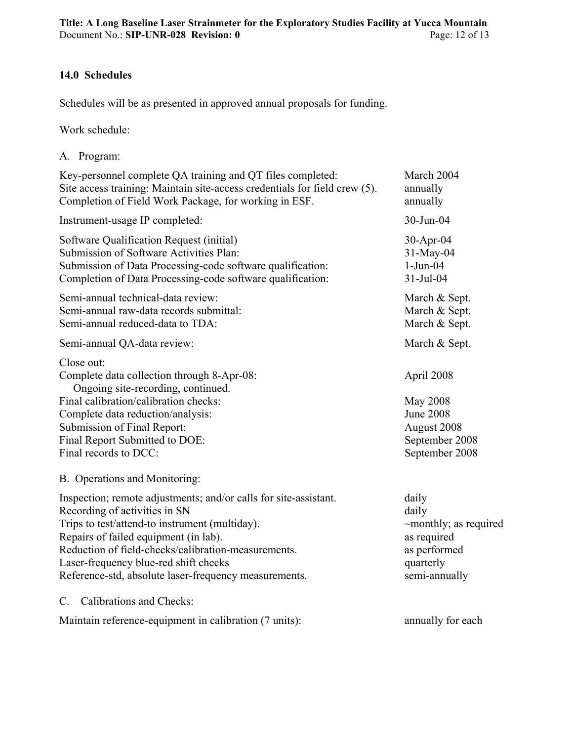#### **14.0 Schedules**

Schedules will be as presented in approved annual proposals for funding.

Work schedule:

| A. Program:                                                                                                                                                                                                                                                                                                                                           |                                                                                                            |
|-------------------------------------------------------------------------------------------------------------------------------------------------------------------------------------------------------------------------------------------------------------------------------------------------------------------------------------------------------|------------------------------------------------------------------------------------------------------------|
| Key-personnel complete QA training and QT files completed:<br>Site access training: Maintain site-access credentials for field crew (5).<br>Completion of Field Work Package, for working in ESF.                                                                                                                                                     | March 2004<br>annually<br>annually                                                                         |
| Instrument-usage IP completed:                                                                                                                                                                                                                                                                                                                        | 30-Jun-04                                                                                                  |
| Software Qualification Request (initial)<br>Submission of Software Activities Plan:<br>Submission of Data Processing-code software qualification:<br>Completion of Data Processing-code software qualification:                                                                                                                                       | 30-Apr-04<br>31-May-04<br>$1-Jun-04$<br>31-Jul-04                                                          |
| Semi-annual technical-data review:<br>Semi-annual raw-data records submittal:<br>Semi-annual reduced-data to TDA:                                                                                                                                                                                                                                     | March & Sept.<br>March & Sept.<br>March & Sept.                                                            |
| Semi-annual QA-data review:                                                                                                                                                                                                                                                                                                                           | March & Sept.                                                                                              |
| Close out:<br>Complete data collection through 8-Apr-08:<br>Ongoing site-recording, continued.<br>Final calibration/calibration checks:<br>Complete data reduction/analysis:<br>Submission of Final Report:<br>Final Report Submitted to DOE:<br>Final records to DCC:                                                                                | April 2008<br>May 2008<br><b>June 2008</b><br>August 2008<br>September 2008<br>September 2008              |
| B. Operations and Monitoring:                                                                                                                                                                                                                                                                                                                         |                                                                                                            |
| Inspection; remote adjustments; and/or calls for site-assistant.<br>Recording of activities in SN<br>Trips to test/attend-to instrument (multiday).<br>Repairs of failed equipment (in lab).<br>Reduction of field-checks/calibration-measurements.<br>Laser-frequency blue-red shift checks<br>Reference-std, absolute laser-frequency measurements. | daily<br>daily<br>$\sim$ monthly; as required<br>as required<br>as performed<br>quarterly<br>semi-annually |
| Calibrations and Checks:<br>$C_{\cdot}$                                                                                                                                                                                                                                                                                                               |                                                                                                            |
| Maintain reference-equipment in calibration (7 units):                                                                                                                                                                                                                                                                                                | annually for each                                                                                          |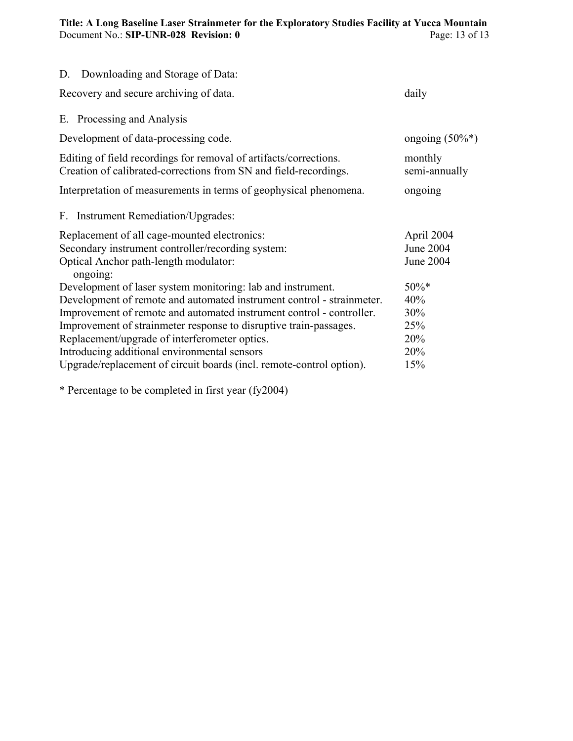#### **Title: A Long Baseline Laser Strainmeter for the Exploratory Studies Facility at Yucca Mountain** Document No.: **SIP-UNR-028 Revision: 0** Page: 13 of 13

| D. Downloading and Storage of Data:                                                                                                                                                                                                                                                                                                                                                                                                                        |                                                   |
|------------------------------------------------------------------------------------------------------------------------------------------------------------------------------------------------------------------------------------------------------------------------------------------------------------------------------------------------------------------------------------------------------------------------------------------------------------|---------------------------------------------------|
| Recovery and secure archiving of data.                                                                                                                                                                                                                                                                                                                                                                                                                     | daily                                             |
| E. Processing and Analysis                                                                                                                                                                                                                                                                                                                                                                                                                                 |                                                   |
| Development of data-processing code.                                                                                                                                                                                                                                                                                                                                                                                                                       | ongoing $(50\%*)$                                 |
| Editing of field recordings for removal of artifacts/corrections.<br>Creation of calibrated-corrections from SN and field-recordings.                                                                                                                                                                                                                                                                                                                      | monthly<br>semi-annually                          |
| Interpretation of measurements in terms of geophysical phenomena.                                                                                                                                                                                                                                                                                                                                                                                          | ongoing                                           |
| F. Instrument Remediation/Upgrades:                                                                                                                                                                                                                                                                                                                                                                                                                        |                                                   |
| Replacement of all cage-mounted electronics:<br>Secondary instrument controller/recording system:<br>Optical Anchor path-length modulator:<br>ongoing:                                                                                                                                                                                                                                                                                                     | April 2004<br>June 2004<br><b>June 2004</b>       |
| Development of laser system monitoring: lab and instrument.<br>Development of remote and automated instrument control - strainmeter.<br>Improvement of remote and automated instrument control - controller.<br>Improvement of strainmeter response to disruptive train-passages.<br>Replacement/upgrade of interferometer optics.<br>Introducing additional environmental sensors<br>Upgrade/replacement of circuit boards (incl. remote-control option). | $50\%*$<br>40%<br>30%<br>25%<br>20%<br>20%<br>15% |

\* Percentage to be completed in first year (fy2004)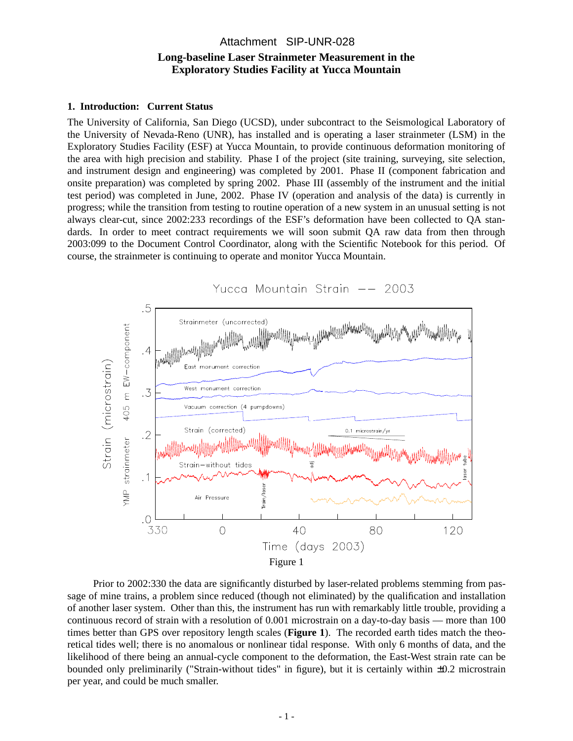#### **Long-baseline Laser Strainmeter Measurement in the Exploratory Studies Facility at Yucca Mountain** Attachment SIP-UNR-028

#### **1. Introduction: Current Status**

The University of California, San Diego (UCSD), under subcontract to the Seismological Laboratory of the University of Nevada-Reno (UNR), has installed and is operating a laser strainmeter (LSM) in the Exploratory Studies Facility (ESF) at Yucca Mountain, to provide continuous deformation monitoring of the area with high precision and stability. Phase I of the project (site training, surveying, site selection, and instrument design and engineering) was completed by 2001. Phase II (component fabrication and onsite preparation) was completed by spring 2002. Phase III (assembly of the instrument and the initial test period) was completed in June, 2002. Phase IV (operation and analysis of the data) is currently in progress; while the transition from testing to routine operation of a new system in an unusual setting is not always clear-cut, since 2002:233 recordings of the ESF's deformation have been collected to QA standards. In order to meet contract requirements we will soon submit QA raw data from then through 2003:099 to the Document Control Coordinator, along with the Scientific Notebook for this period. Of course, the strainmeter is continuing to operate and monitor Yucca Mountain.



Prior to 2002:330 the data are significantly disturbed by laser-related problems stemming from passage of mine trains, a problem since reduced (though not eliminated) by the qualification and installation of another laser system. Other than this, the instrument has run with remarkably little trouble, providing a continuous record of strain with a resolution of 0.001 microstrain on a day-to-day basis — more than 100 times better than GPS over repository length scales (**Figure 1**). The recorded earth tides match the theoretical tides well; there is no anomalous or nonlinear tidal response. With only 6 months of data, and the likelihood of there being an annual-cycle component to the deformation, the East-West strain rate can be bounded only preliminarily ("Strain-without tides" in figure), but it is certainly within ±0.2 microstrain per year, and could be much smaller.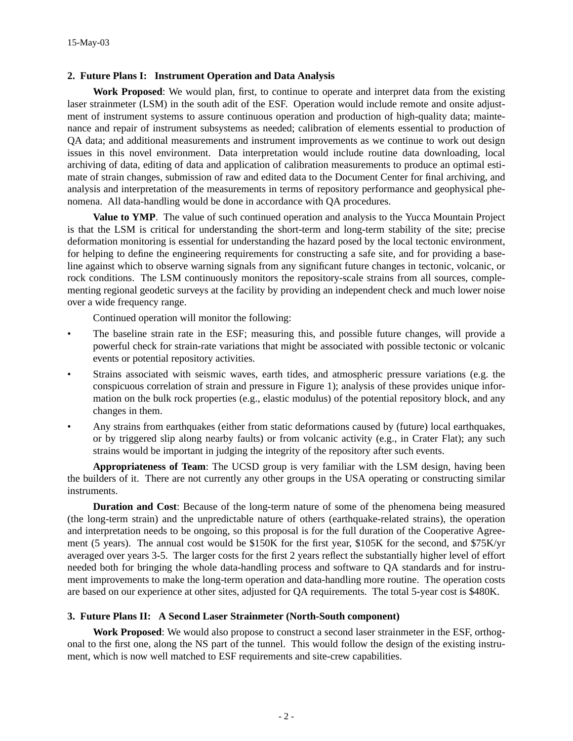#### **2. Future Plans I: Instrument Operation and Data Analysis**

**Work Proposed**: We would plan, first, to continue to operate and interpret data from the existing laser strainmeter (LSM) in the south adit of the ESF. Operation would include remote and onsite adjustment of instrument systems to assure continuous operation and production of high-quality data; maintenance and repair of instrument subsystems as needed; calibration of elements essential to production of QA data; and additional measurements and instrument improvements as we continue to work out design issues in this novel environment. Data interpretation would include routine data downloading, local archiving of data, editing of data and application of calibration measurements to produce an optimal estimate of strain changes, submission of raw and edited data to the Document Center for final archiving, and analysis and interpretation of the measurements in terms of repository performance and geophysical phenomena. All data-handling would be done in accordance with QA procedures.

**Value to YMP**. The value of such continued operation and analysis to the Yucca Mountain Project is that the LSM is critical for understanding the short-term and long-term stability of the site; precise deformation monitoring is essential for understanding the hazard posed by the local tectonic environment, for helping to define the engineering requirements for constructing a safe site, and for providing a baseline against which to observe warning signals from any significant future changes in tectonic, volcanic, or rock conditions. The LSM continuously monitors the repository-scale strains from all sources, complementing regional geodetic surveys at the facility by providing an independent check and much lower noise over a wide frequency range.

Continued operation will monitor the following:

- The baseline strain rate in the ESF; measuring this, and possible future changes, will provide a powerful check for strain-rate variations that might be associated with possible tectonic or volcanic events or potential repository activities.
- Strains associated with seismic waves, earth tides, and atmospheric pressure variations (e.g. the conspicuous correlation of strain and pressure in Figure 1); analysis of these provides unique information on the bulk rock properties (e.g., elastic modulus) of the potential repository block, and any changes in them.
- Any strains from earthquakes (either from static deformations caused by (future) local earthquakes, or by triggered slip along nearby faults) or from volcanic activity (e.g., in Crater Flat); any such strains would be important in judging the integrity of the repository after such events.

**Appropriateness of Team**: The UCSD group is very familiar with the LSM design, having been the builders of it. There are not currently any other groups in the USA operating or constructing similar instruments.

**Duration and Cost**: Because of the long-term nature of some of the phenomena being measured (the long-term strain) and the unpredictable nature of others (earthquake-related strains), the operation and interpretation needs to be ongoing, so this proposal is for the full duration of the Cooperative Agreement (5 years). The annual cost would be \$150K for the first year, \$105K for the second, and \$75K/yr averaged over years 3-5. The larger costs for the first 2 years reflect the substantially higher level of effort needed both for bringing the whole data-handling process and software to QA standards and for instrument improvements to make the long-term operation and data-handling more routine. The operation costs are based on our experience at other sites, adjusted for QA requirements. The total 5-year cost is \$480K.

#### **3. Future Plans II: A Second Laser Strainmeter (North-South component)**

**Work Proposed**: We would also propose to construct a second laser strainmeter in the ESF, orthogonal to the first one, along the NS part of the tunnel. This would follow the design of the existing instrument, which is now well matched to ESF requirements and site-crew capabilities.